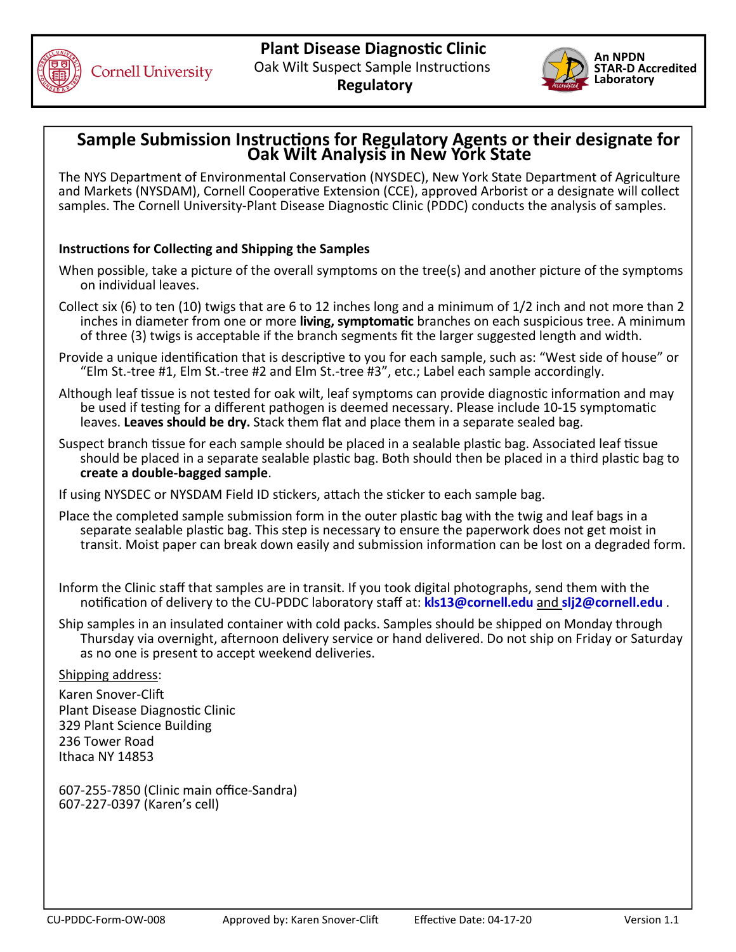



## **Sample Submission Instructions for Regulatory Agents or their designate for<br>Oak Wilt Analysis in New York State**

The NYS Department of Environmental Conservation (NYSDEC), New York State Department of Agriculture and Markets (NYSDAM), Cornell Cooperative Extension (CCE), approved Arborist or a designate will collect samples. The Cornell University-Plant Disease Diagnostic Clinic (PDDC) conducts the analysis of samples.

## **Instructions for Collecting and Shipping the Samples**

- When possible, take a picture of the overall symptoms on the tree(s) and another picture of the symptoms on individual leaves.
- Collect six (6) to ten (10) twigs that are 6 to 12 inches long and a minimum of 1/2 inch and not more than 2 inches in diameter from one or more living, symptomatic branches on each suspicious tree. A minimum of three (3) twigs is acceptable if the branch segments fit the larger suggested length and width.
- Provide a unique identification that is descriptive to you for each sample, such as: "West side of house" or "Elm St.‐tree #1, Elm St.‐tree #2 and Elm St.‐tree #3", etc.; Label each sample accordingly.
- Although leaf tissue is not tested for oak wilt, leaf symptoms can provide diagnostic information and may be used if testing for a different pathogen is deemed necessary. Please include 10-15 symptomatic leaves. **Leaves should be dry.** Stack them flat and place them in a separate sealed bag.
- Suspect branch tissue for each sample should be placed in a sealable plastic bag. Associated leaf tissue should be placed in a separate sealable plastic bag. Both should then be placed in a third plastic bag to **create a double‐bagged sample**.
- If using NYSDEC or NYSDAM Field ID stickers, attach the sticker to each sample bag.
- Place the completed sample submission form in the outer plastic bag with the twig and leaf bags in a separate sealable plastic bag. This step is necessary to ensure the paperwork does not get moist in transit. Moist paper can break down easily and submission information can be lost on a degraded form. |
- Inform the Clinic staff that samples are in transit. If you took digital photographs, send them with the noƟficaƟon of delivery to the CU‐PDDC laboratory staff at: **[kls13@cornell.edu](mailto:kls13@cornell.edu)** and **[slj2@cornell.edu](mailto:slj2@cornell.edu)** .
- Ship samples in an insulated container with cold packs. Samples should be shipped on Monday through Thursday via overnight, afternoon delivery service or hand delivered. Do not ship on Friday or Saturday as no one is present to accept weekend deliveries.

## Shipping address:

Plant Disease Diagnostic Clinic 329 Plant Science Building 236 Tower Road Ithaca NY 14853 Karen Snover-Clift

 607‐255‐7850 (Clinic main office‐Sandra) 607‐227‐0397 (Karen's cell)